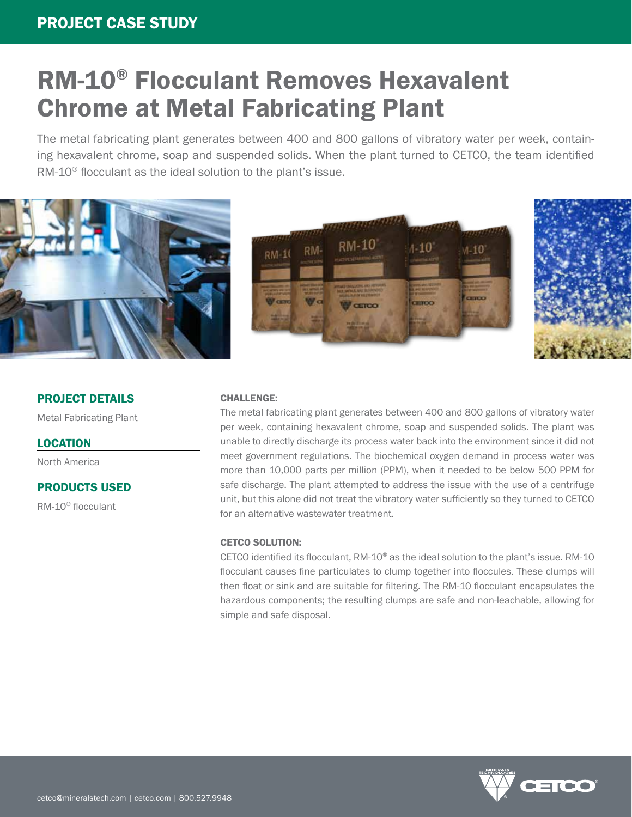# RM-10® Flocculant Removes Hexavalent Chrome at Metal Fabricating Plant

The metal fabricating plant generates between 400 and 800 gallons of vibratory water per week, containing hexavalent chrome, soap and suspended solids. When the plant turned to CETCO, the team identified RM-10<sup>®</sup> flocculant as the ideal solution to the plant's issue.







# PROJECT DETAILS

Metal Fabricating Plant

# LOCATION

North America

# PRODUCTS USED

RM-10® flocculant

#### CHALLENGE:

The metal fabricating plant generates between 400 and 800 gallons of vibratory water per week, containing hexavalent chrome, soap and suspended solids. The plant was unable to directly discharge its process water back into the environment since it did not meet government regulations. The biochemical oxygen demand in process water was more than 10,000 parts per million (PPM), when it needed to be below 500 PPM for safe discharge. The plant attempted to address the issue with the use of a centrifuge unit, but this alone did not treat the vibratory water sufficiently so they turned to CETCO for an alternative wastewater treatment.

#### CETCO SOLUTION:

CETCO identified its flocculant, RM-10® as the ideal solution to the plant's issue. RM-10 flocculant causes fine particulates to clump together into floccules. These clumps will then float or sink and are suitable for filtering. The RM-10 flocculant encapsulates the hazardous components; the resulting clumps are safe and non-leachable, allowing for simple and safe disposal.